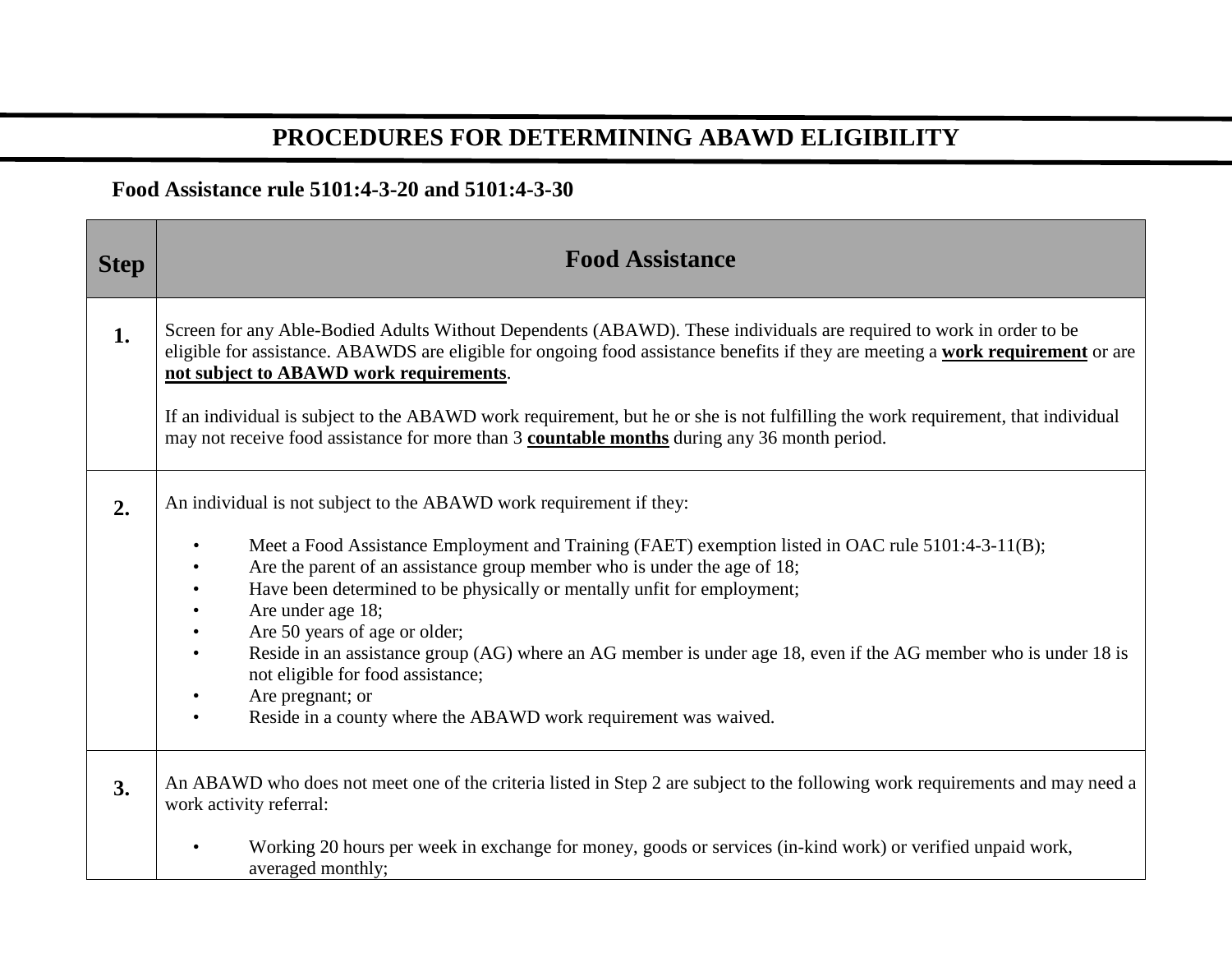## **PROCEDURES FOR DETERMINING ABAWD ELIGIBILITY**

## **Food Assistance rule 5101:4-3-20 and 5101:4-3-30**

| <b>Step</b> | <b>Food Assistance</b>                                                                                                                                                                                                                                                                                                                                                                                                                                                                                                                                                                                                                                                                                                           |
|-------------|----------------------------------------------------------------------------------------------------------------------------------------------------------------------------------------------------------------------------------------------------------------------------------------------------------------------------------------------------------------------------------------------------------------------------------------------------------------------------------------------------------------------------------------------------------------------------------------------------------------------------------------------------------------------------------------------------------------------------------|
| 1.          | Screen for any Able-Bodied Adults Without Dependents (ABAWD). These individuals are required to work in order to be<br>eligible for assistance. ABAWDS are eligible for ongoing food assistance benefits if they are meeting a work requirement or are<br>not subject to ABAWD work requirements.<br>If an individual is subject to the ABAWD work requirement, but he or she is not fulfilling the work requirement, that individual<br>may not receive food assistance for more than 3 countable months during any 36 month period.                                                                                                                                                                                            |
| 2.          | An individual is not subject to the ABAWD work requirement if they:<br>Meet a Food Assistance Employment and Training (FAET) exemption listed in OAC rule 5101:4-3-11(B);<br>$\bullet$<br>Are the parent of an assistance group member who is under the age of 18;<br>$\bullet$<br>Have been determined to be physically or mentally unfit for employment;<br>$\bullet$<br>Are under age 18;<br>$\bullet$<br>Are 50 years of age or older;<br>$\bullet$<br>Reside in an assistance group (AG) where an AG member is under age 18, even if the AG member who is under 18 is<br>$\bullet$<br>not eligible for food assistance;<br>Are pregnant; or<br>Reside in a county where the ABAWD work requirement was waived.<br>$\bullet$ |
| 3.          | An ABAWD who does not meet one of the criteria listed in Step 2 are subject to the following work requirements and may need a<br>work activity referral:<br>Working 20 hours per week in exchange for money, goods or services (in-kind work) or verified unpaid work,<br>$\bullet$<br>averaged monthly;                                                                                                                                                                                                                                                                                                                                                                                                                         |